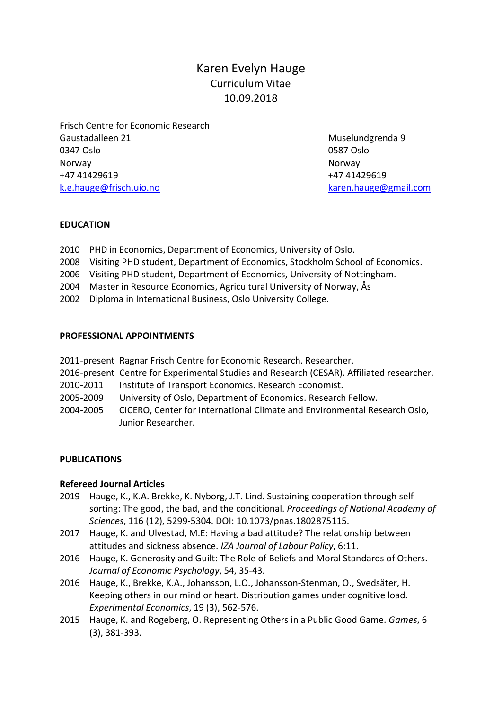# Karen Evelyn Hauge Curriculum Vitae 10.09.2018

Frisch Centre for Economic Research Gaustadalleen 21 Muselundgrenda 9 0347 Oslo 0587 Oslo Norway Norway +47 41429619 +47 41429619 [k.e.hauge@frisch.uio.no](mailto:k.e.hauge@frisch.uio.no) [karen.hauge@gmail.com](mailto:karen.hauge@gmail.com)

# **EDUCATION**

- 2010 PHD in Economics, Department of Economics, University of Oslo.
- 2008 Visiting PHD student, Department of Economics, Stockholm School of Economics.
- 2006 Visiting PHD student, Department of Economics, University of Nottingham.
- 2004 Master in Resource Economics, Agricultural University of Norway, Ås
- 2002 Diploma in International Business, Oslo University College.

# **PROFESSIONAL APPOINTMENTS**

|           | 2011-present Ragnar Frisch Centre for Economic Research. Researcher.                      |
|-----------|-------------------------------------------------------------------------------------------|
|           | 2016-present Centre for Experimental Studies and Research (CESAR). Affiliated researcher. |
| 2010-2011 | Institute of Transport Economics. Research Economist.                                     |
| 2005-2009 | University of Oslo, Department of Economics. Research Fellow.                             |
| 2004-2005 | CICERO, Center for International Climate and Environmental Research Oslo,                 |
|           | Junior Researcher.                                                                        |

# **PUBLICATIONS**

# **Refereed Journal Articles**

- 2019 Hauge, K., K.A. Brekke, K. Nyborg, J.T. Lind. Sustaining cooperation through selfsorting: The good, the bad, and the conditional. *Proceedings of National Academy of Sciences*, 116 (12), 5299-5304. DOI: 10.1073/pnas.1802875115.
- 2017 Hauge, K. and Ulvestad, M.E: Having a bad attitude? The relationship between attitudes and sickness absence. *IZA Journal of Labour Policy*, 6:11.
- 2016 Hauge, K. Generosity and Guilt: The Role of Beliefs and Moral Standards of Others. *Journal of Economic Psychology*, 54, 35-43.
- 2016 Hauge, K., Brekke, K.A., Johansson, L.O., Johansson-Stenman, O., Svedsäter, H. Keeping others in our mind or heart. Distribution games under cognitive load. *Experimental Economics*, 19 (3), 562-576.
- 2015 Hauge, K. and Rogeberg, O. Representing Others in a Public Good Game. *Games*, 6 (3), 381-393.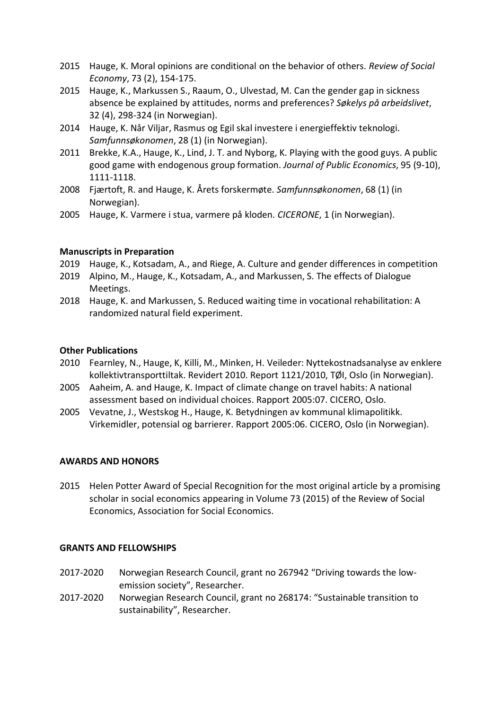- 2015 Hauge, K. Moral opinions are conditional on the behavior of others. *Review of Social Economy*, 73 (2), 154-175.
- 2015 Hauge, K., Markussen S., Raaum, O., Ulvestad, M. Can the gender gap in sickness absence be explained by attitudes, norms and preferences? *Søkelys på arbeidslivet*, 32 (4), 298-324 (in Norwegian).
- 2014 Hauge, K. Når Viljar, Rasmus og Egil skal investere i energieffektiv teknologi. *Samfunnsøkonomen*, 28 (1) (in Norwegian).
- 2011 Brekke, K.A., Hauge, K., Lind, J. T. and Nyborg, K. Playing with the good guys. A public good game with endogenous group formation. *Journal of Public Economics*, 95 (9-10), 1111-1118.
- 2008 Fjærtoft, R. and Hauge, K. Årets forskermøte. *Samfunnsøkonomen*, 68 (1) (in Norwegian).
- 2005 Hauge, K. Varmere i stua, varmere på kloden. *CICERONE*, 1 (in Norwegian).

# **Manuscripts in Preparation**

- 2019 Hauge, K., Kotsadam, A., and Riege, A. Culture and gender differences in competition
- 2019 Alpino, M., Hauge, K., Kotsadam, A., and Markussen, S. The effects of Dialogue Meetings.
- 2018 Hauge, K. and Markussen, S. Reduced waiting time in vocational rehabilitation: A randomized natural field experiment.

# **Other Publications**

- 2010 Fearnley, N., Hauge, K, Killi, M., Minken, H. Veileder: Nyttekostnadsanalyse av enklere kollektivtransporttiltak. Revidert 2010. Report 1121/2010, TØI, Oslo (in Norwegian).
- 2005 Aaheim, A. and Hauge, K. Impact of climate change on travel habits: A national assessment based on individual choices. Rapport 2005:07. CICERO, Oslo.
- 2005 Vevatne, J., Westskog H., Hauge, K. Betydningen av kommunal klimapolitikk. Virkemidler, potensial og barrierer. Rapport 2005:06. CICERO, Oslo (in Norwegian).

# **AWARDS AND HONORS**

2015 Helen Potter Award of Special Recognition for the most original article by a promising scholar in social economics appearing in Volume 73 (2015) of the Review of Social Economics, Association for Social Economics.

## **GRANTS AND FELLOWSHIPS**

- 2017-2020 Norwegian Research Council, grant no 267942 "Driving towards the lowemission society", Researcher.
- 2017-2020 Norwegian Research Council, grant no 268174: "Sustainable transition to sustainability", Researcher.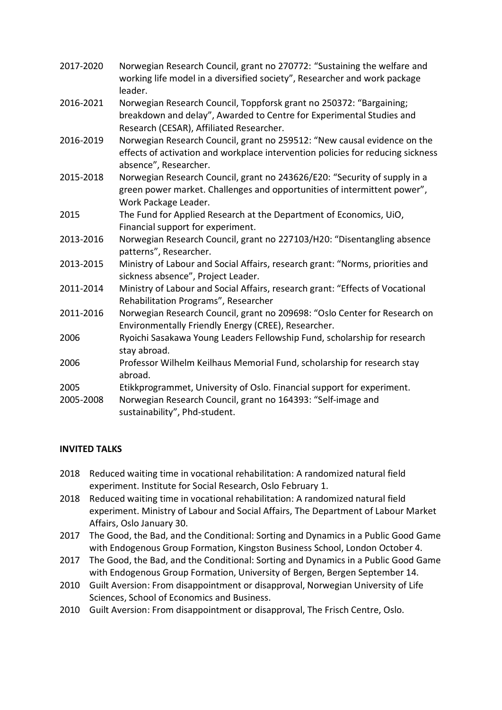| 2017-2020 | Norwegian Research Council, grant no 270772: "Sustaining the welfare and<br>working life model in a diversified society", Researcher and work package<br>leader.                        |
|-----------|-----------------------------------------------------------------------------------------------------------------------------------------------------------------------------------------|
| 2016-2021 | Norwegian Research Council, Toppforsk grant no 250372: "Bargaining;<br>breakdown and delay", Awarded to Centre for Experimental Studies and<br>Research (CESAR), Affiliated Researcher. |
| 2016-2019 | Norwegian Research Council, grant no 259512: "New causal evidence on the<br>effects of activation and workplace intervention policies for reducing sickness<br>absence", Researcher.    |
| 2015-2018 | Norwegian Research Council, grant no 243626/E20: "Security of supply in a<br>green power market. Challenges and opportunities of intermittent power",<br>Work Package Leader.           |
| 2015      | The Fund for Applied Research at the Department of Economics, UiO,<br>Financial support for experiment.                                                                                 |
| 2013-2016 | Norwegian Research Council, grant no 227103/H20: "Disentangling absence<br>patterns", Researcher.                                                                                       |
| 2013-2015 | Ministry of Labour and Social Affairs, research grant: "Norms, priorities and<br>sickness absence", Project Leader.                                                                     |
| 2011-2014 | Ministry of Labour and Social Affairs, research grant: "Effects of Vocational<br>Rehabilitation Programs", Researcher                                                                   |
| 2011-2016 | Norwegian Research Council, grant no 209698: "Oslo Center for Research on<br>Environmentally Friendly Energy (CREE), Researcher.                                                        |
| 2006      | Ryoichi Sasakawa Young Leaders Fellowship Fund, scholarship for research<br>stay abroad.                                                                                                |
| 2006      | Professor Wilhelm Keilhaus Memorial Fund, scholarship for research stay<br>abroad.                                                                                                      |
| 2005      | Etikkprogrammet, University of Oslo. Financial support for experiment.                                                                                                                  |
| 2005-2008 | Norwegian Research Council, grant no 164393: "Self-image and<br>sustainability", Phd-student.                                                                                           |

# **INVITED TALKS**

- 2018 Reduced waiting time in vocational rehabilitation: A randomized natural field experiment. Institute for Social Research, Oslo February 1.
- 2018 Reduced waiting time in vocational rehabilitation: A randomized natural field experiment. Ministry of Labour and Social Affairs, The Department of Labour Market Affairs, Oslo January 30.
- 2017 The Good, the Bad, and the Conditional: Sorting and Dynamics in a Public Good Game with Endogenous Group Formation, Kingston Business School, London October 4.
- 2017 The Good, the Bad, and the Conditional: Sorting and Dynamics in a Public Good Game with Endogenous Group Formation, University of Bergen, Bergen September 14.
- 2010 Guilt Aversion: From disappointment or disapproval, Norwegian University of Life Sciences, School of Economics and Business.
- 2010 Guilt Aversion: From disappointment or disapproval, The Frisch Centre, Oslo.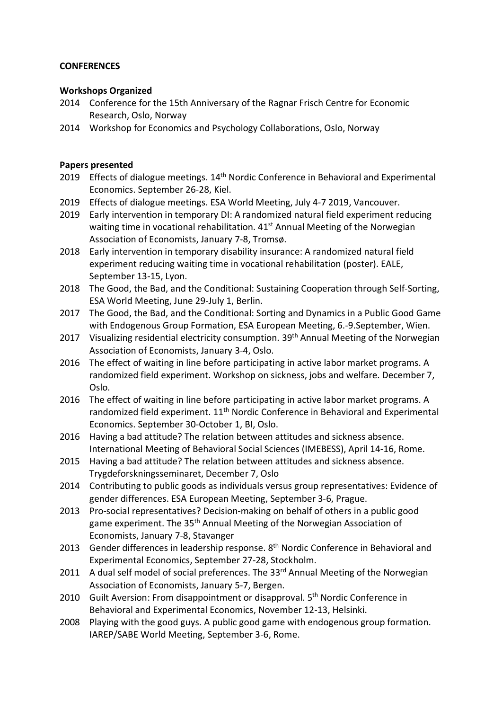## **CONFERENCES**

## **Workshops Organized**

- 2014 Conference for the 15th Anniversary of the Ragnar Frisch Centre for Economic Research, Oslo, Norway
- 2014 Workshop for Economics and Psychology Collaborations, Oslo, Norway

# **Papers presented**

- 2019 Effects of dialogue meetings. 14<sup>th</sup> Nordic Conference in Behavioral and Experimental Economics. September 26-28, Kiel.
- 2019 Effects of dialogue meetings. ESA World Meeting, July 4-7 2019, Vancouver.
- 2019 Early intervention in temporary DI: A randomized natural field experiment reducing waiting time in vocational rehabilitation. 41<sup>st</sup> Annual Meeting of the Norwegian Association of Economists, January 7-8, Tromsø.
- 2018 Early intervention in temporary disability insurance: A randomized natural field experiment reducing waiting time in vocational rehabilitation (poster). EALE, September 13-15, Lyon.
- 2018 The Good, the Bad, and the Conditional: Sustaining Cooperation through Self-Sorting, ESA World Meeting, June 29-July 1, Berlin.
- 2017 The Good, the Bad, and the Conditional: Sorting and Dynamics in a Public Good Game with Endogenous Group Formation, ESA European Meeting, 6.-9.September, Wien.
- 2017 Visualizing residential electricity consumption. 39<sup>th</sup> Annual Meeting of the Norwegian Association of Economists, January 3-4, Oslo.
- 2016 The effect of waiting in line before participating in active labor market programs. A randomized field experiment. Workshop on sickness, jobs and welfare. December 7, Oslo.
- 2016 The effect of waiting in line before participating in active labor market programs. A randomized field experiment. 11<sup>th</sup> Nordic Conference in Behavioral and Experimental Economics. September 30-October 1, BI, Oslo.
- 2016 Having a bad attitude? The relation between attitudes and sickness absence. International Meeting of Behavioral Social Sciences (IMEBESS), April 14-16, Rome.
- 2015 Having a bad attitude? The relation between attitudes and sickness absence. Trygdeforskningsseminaret, December 7, Oslo
- 2014 Contributing to public goods as individuals versus group representatives: Evidence of gender differences. ESA European Meeting, September 3-6, Prague.
- 2013 Pro-social representatives? Decision-making on behalf of others in a public good game experiment. The 35<sup>th</sup> Annual Meeting of the Norwegian Association of Economists, January 7-8, Stavanger
- 2013 Gender differences in leadership response. 8<sup>th</sup> Nordic Conference in Behavioral and Experimental Economics, September 27-28, Stockholm.
- 2011 A dual self model of social preferences. The  $33<sup>rd</sup>$  Annual Meeting of the Norwegian Association of Economists, January 5-7, Bergen.
- 2010 Guilt Aversion: From disappointment or disapproval. 5<sup>th</sup> Nordic Conference in Behavioral and Experimental Economics, November 12-13, Helsinki.
- 2008 Playing with the good guys. A public good game with endogenous group formation. IAREP/SABE World Meeting, September 3-6, Rome.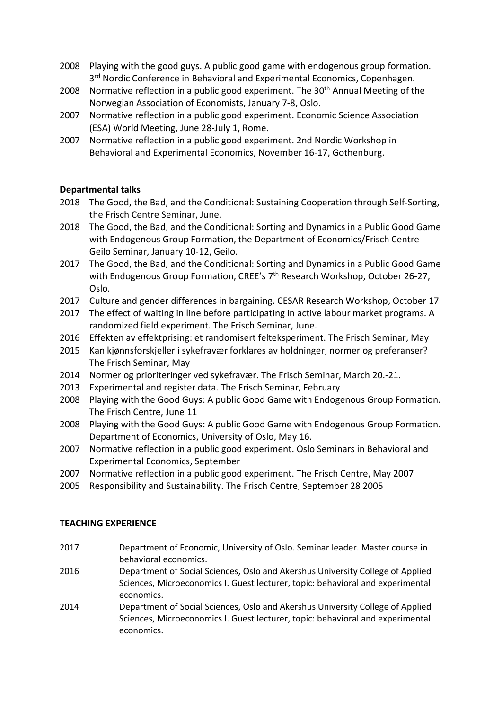- 2008 Playing with the good guys. A public good game with endogenous group formation. 3<sup>rd</sup> Nordic Conference in Behavioral and Experimental Economics, Copenhagen.
- 2008 Normative reflection in a public good experiment. The 30<sup>th</sup> Annual Meeting of the Norwegian Association of Economists, January 7-8, Oslo.
- 2007 Normative reflection in a public good experiment. Economic Science Association (ESA) World Meeting, June 28-July 1, Rome.
- 2007 Normative reflection in a public good experiment. 2nd Nordic Workshop in Behavioral and Experimental Economics, November 16-17, Gothenburg.

# **Departmental talks**

- 2018 The Good, the Bad, and the Conditional: Sustaining Cooperation through Self-Sorting, the Frisch Centre Seminar, June.
- 2018 The Good, the Bad, and the Conditional: Sorting and Dynamics in a Public Good Game with Endogenous Group Formation, the Department of Economics/Frisch Centre Geilo Seminar, January 10-12, Geilo.
- 2017 The Good, the Bad, and the Conditional: Sorting and Dynamics in a Public Good Game with Endogenous Group Formation, CREE's 7<sup>th</sup> Research Workshop, October 26-27, Oslo.
- 2017 Culture and gender differences in bargaining. CESAR Research Workshop, October 17
- 2017 The effect of waiting in line before participating in active labour market programs. A randomized field experiment. The Frisch Seminar, June.
- 2016 Effekten av effektprising: et randomisert felteksperiment. The Frisch Seminar, May
- 2015 Kan kjønnsforskjeller i sykefravær forklares av holdninger, normer og preferanser? The Frisch Seminar, May
- 2014 Normer og prioriteringer ved sykefravær. The Frisch Seminar, March 20.-21.
- 2013 Experimental and register data. The Frisch Seminar, February
- 2008 Playing with the Good Guys: A public Good Game with Endogenous Group Formation. The Frisch Centre, June 11
- 2008 Playing with the Good Guys: A public Good Game with Endogenous Group Formation. Department of Economics, University of Oslo, May 16.
- 2007 Normative reflection in a public good experiment. Oslo Seminars in Behavioral and Experimental Economics, September
- 2007 Normative reflection in a public good experiment. The Frisch Centre, May 2007
- 2005 Responsibility and Sustainability. The Frisch Centre, September 28 2005

## **TEACHING EXPERIENCE**

- 2017 Department of Economic, University of Oslo. Seminar leader. Master course in behavioral economics.
- 2016 Department of Social Sciences, Oslo and Akershus University College of Applied Sciences, Microeconomics I. Guest lecturer, topic: behavioral and experimental economics.
- 2014 Department of Social Sciences, Oslo and Akershus University College of Applied Sciences, Microeconomics I. Guest lecturer, topic: behavioral and experimental economics.